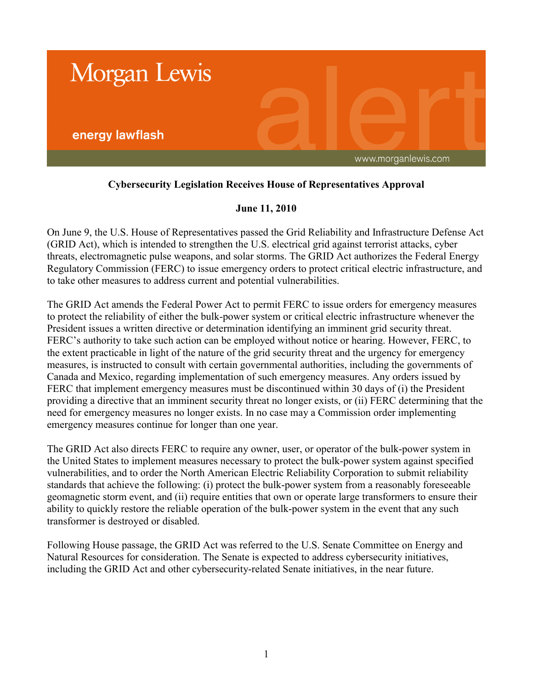

## **Cybersecurity Legislation Receives House of Representatives Approval**

## **June 11, 2010**

On June 9, the U.S. House of Representatives passed the Grid Reliability and Infrastructure Defense Act (GRID Act), which is intended to strengthen the U.S. electrical grid against terrorist attacks, cyber threats, electromagnetic pulse weapons, and solar storms. The GRID Act authorizes the Federal Energy Regulatory Commission (FERC) to issue emergency orders to protect critical electric infrastructure, and to take other measures to address current and potential vulnerabilities.

The GRID Act amends the Federal Power Act to permit FERC to issue orders for emergency measures to protect the reliability of either the bulk-power system or critical electric infrastructure whenever the President issues a written directive or determination identifying an imminent grid security threat. FERC's authority to take such action can be employed without notice or hearing. However, FERC, to the extent practicable in light of the nature of the grid security threat and the urgency for emergency measures, is instructed to consult with certain governmental authorities, including the governments of Canada and Mexico, regarding implementation of such emergency measures. Any orders issued by FERC that implement emergency measures must be discontinued within 30 days of (i) the President providing a directive that an imminent security threat no longer exists, or (ii) FERC determining that the need for emergency measures no longer exists. In no case may a Commission order implementing emergency measures continue for longer than one year.

The GRID Act also directs FERC to require any owner, user, or operator of the bulk-power system in the United States to implement measures necessary to protect the bulk-power system against specified vulnerabilities, and to order the North American Electric Reliability Corporation to submit reliability standards that achieve the following: (i) protect the bulk-power system from a reasonably foreseeable geomagnetic storm event, and (ii) require entities that own or operate large transformers to ensure their ability to quickly restore the reliable operation of the bulk-power system in the event that any such transformer is destroyed or disabled.

Following House passage, the GRID Act was referred to the U.S. Senate Committee on Energy and Natural Resources for consideration. The Senate is expected to address cybersecurity initiatives, including the GRID Act and other cybersecurity-related Senate initiatives, in the near future.